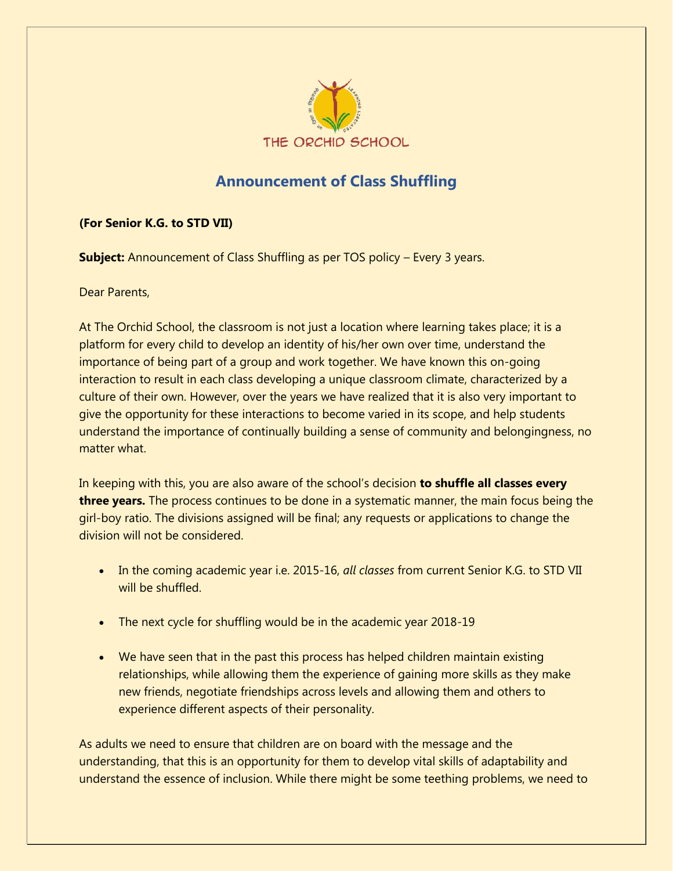

## **Announcement of Class Shuffling**

## **(For Senior K.G. to STD VII)**

**Subject:** Announcement of Class Shuffling as per TOS policy – Every 3 years.

Dear Parents,

At The Orchid School, the classroom is not just a location where learning takes place; it is a platform for every child to develop an identity of his/her own over time, understand the importance of being part of a group and work together. We have known this on-going interaction to result in each class developing a unique classroom climate, characterized by a culture of their own. However, over the years we have realized that it is also very important to give the opportunity for these interactions to become varied in its scope, and help students understand the importance of continually building a sense of community and belongingness, no matter what.

In keeping with this, you are also aware of the school's decision **to shuffle all classes every three years.** The process continues to be done in a systematic manner, the main focus being the girl-boy ratio. The divisions assigned will be final; any requests or applications to change the division will not be considered.

- In the coming academic year i.e. 2015-16, *all classes* from current Senior K.G. to STD VII will be shuffled.
- The next cycle for shuffling would be in the academic year 2018-19
- We have seen that in the past this process has helped children maintain existing relationships, while allowing them the experience of gaining more skills as they make new friends, negotiate friendships across levels and allowing them and others to experience different aspects of their personality.

As adults we need to ensure that children are on board with the message and the understanding, that this is an opportunity for them to develop vital skills of adaptability and understand the essence of inclusion. While there might be some teething problems, we need to